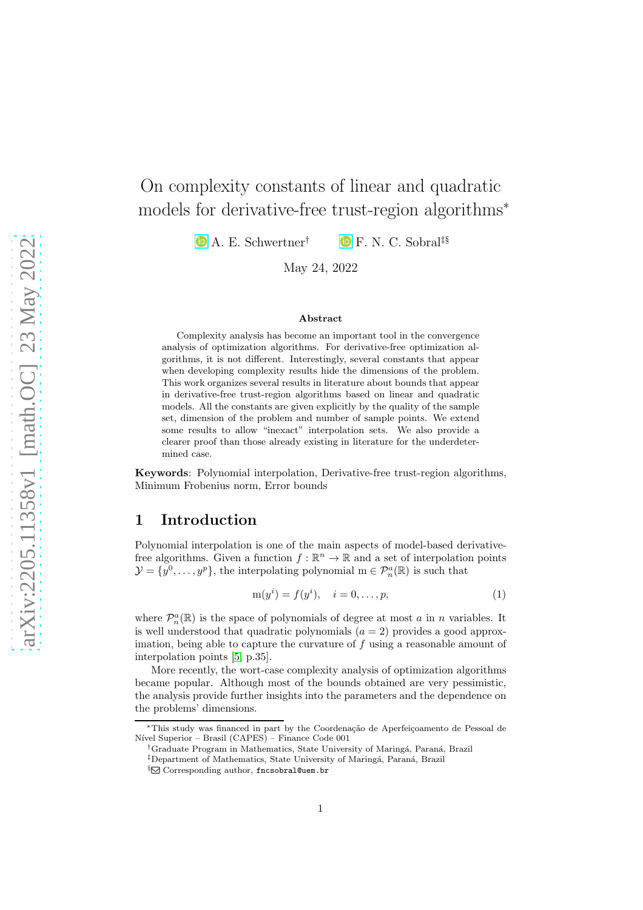# On complexity constants of linear and quadratic models for derivative-free trust-region algorithms<sup>\*</sup>

**D** A. E. Schwertner<sup>†</sup> **D** F. N. C. Sobral<sup>‡§</sup>

May 24, 2022

#### Abstract

Complexity analysis has become an important tool in the convergence analysis of optimization algorithms. For derivative-free optimization algorithms, it is not different. Interestingly, several constants that appear when developing complexity results hide the dimensions of the problem. This work organizes several results in literature about bounds that appear in derivative-free trust-region algorithms based on linear and quadratic models. All the constants are given explicitly by the quality of the sample set, dimension of the problem and number of sample points. We extend some results to allow "inexact" interpolation sets. We also provide a clearer proof than those already existing in literature for the underdetermined case.

Keywords: Polynomial interpolation, Derivative-free trust-region algorithms, Minimum Frobenius norm, Error bounds

#### 1 Introduction

Polynomial interpolation is one of the main aspects of model-based derivativefree algorithms. Given a function  $f : \mathbb{R}^n \to \mathbb{R}$  and a set of interpolation points  $\mathcal{Y} = \{y^0, \ldots, y^p\}$ , the interpolating polynomial  $m \in \mathcal{P}_n^a(\mathbb{R})$  is such that

<span id="page-0-0"></span>
$$
m(y^{i}) = f(y^{i}), \quad i = 0, \dots, p,
$$
 (1)

where  $\mathcal{P}_n^a(\mathbb{R})$  is the space of polynomials of degree at most a in n variables. It is well understood that quadratic polynomials  $(a = 2)$  provides a good approximation, being able to capture the curvature of  $f$  using a reasonable amount of interpolation points [\[5,](#page-11-0) p.35].

More recently, the wort-case complexity analysis of optimization algorithms became popular. Although most of the bounds obtained are very pessimistic, the analysis provide further insights into the parameters and the dependence on the problems' dimensions.

<sup>∗</sup>This study was financed in part by the Coordena¸c˜ao de Aperfei¸coamento de Pessoal de Nível Superior – Brasil (CAPES) – Finance Code 001

<sup>&</sup>lt;sup>†</sup>Graduate Program in Mathematics, State University of Maringá, Paraná, Brazil

<sup>&</sup>lt;sup>‡</sup>Department of Mathematics, State University of Maringá, Paraná, Brazil

<sup>§⊠</sup> Corresponding author, fncsobral@uem.br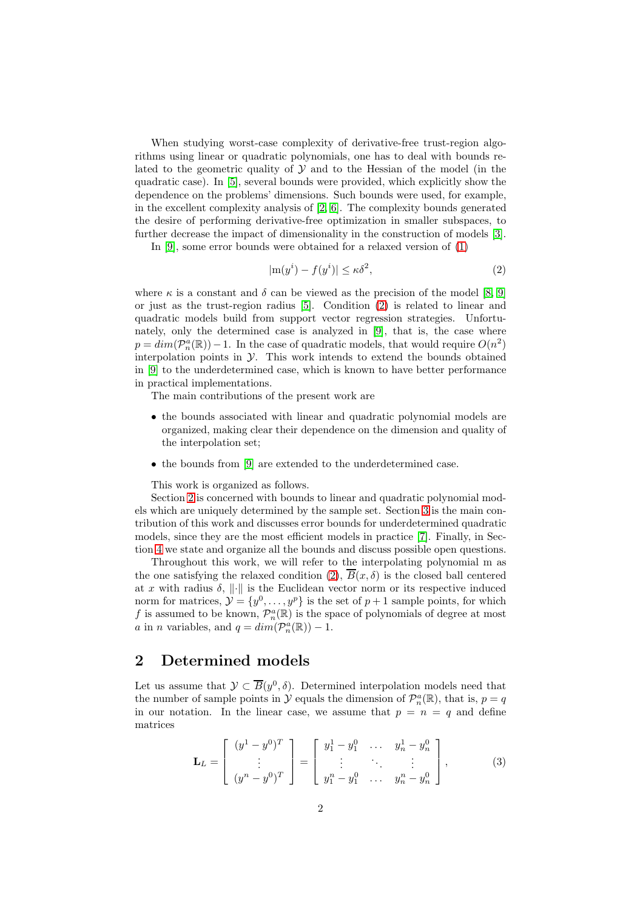When studying worst-case complexity of derivative-free trust-region algorithms using linear or quadratic polynomials, one has to deal with bounds related to the geometric quality of  $\mathcal Y$  and to the Hessian of the model (in the quadratic case). In [\[5\]](#page-11-0), several bounds were provided, which explicitly show the dependence on the problems' dimensions. Such bounds were used, for example, in the excellent complexity analysis of [\[2,](#page-11-1) [6\]](#page-11-2). The complexity bounds generated the desire of performing derivative-free optimization in smaller subspaces, to further decrease the impact of dimensionality in the construction of models [\[3\]](#page-11-3).

In [\[9\]](#page-11-4), some error bounds were obtained for a relaxed version of [\(1\)](#page-0-0)

<span id="page-1-0"></span>
$$
|\mathbf{m}(y^i) - f(y^i)| \le \kappa \delta^2,\tag{2}
$$

where  $\kappa$  is a constant and  $\delta$  can be viewed as the precision of the model [\[8,](#page-11-5) [9\]](#page-11-4) or just as the trust-region radius [\[5\]](#page-11-0). Condition [\(2\)](#page-1-0) is related to linear and quadratic models build from support vector regression strategies. Unfortunately, only the determined case is analyzed in [\[9\]](#page-11-4), that is, the case where  $p = dim(\mathcal{P}_n^a(\mathbb{R})) - 1$ . In the case of quadratic models, that would require  $O(n^2)$ interpolation points in  $\mathcal Y$ . This work intends to extend the bounds obtained in [\[9\]](#page-11-4) to the underdetermined case, which is known to have better performance in practical implementations.

The main contributions of the present work are

- the bounds associated with linear and quadratic polynomial models are organized, making clear their dependence on the dimension and quality of the interpolation set;
- the bounds from [\[9\]](#page-11-4) are extended to the underdetermined case.

This work is organized as follows.

Section [2](#page-1-1) is concerned with bounds to linear and quadratic polynomial models which are uniquely determined by the sample set. Section [3](#page-3-0) is the main contribution of this work and discusses error bounds for underdetermined quadratic models, since they are the most efficient models in practice [\[7\]](#page-11-6). Finally, in Section [4](#page-9-0) we state and organize all the bounds and discuss possible open questions.

Throughout this work, we will refer to the interpolating polynomial m as the one satisfying the relaxed condition [\(2\)](#page-1-0),  $\overline{B}(x,\delta)$  is the closed ball centered at x with radius  $\delta, \| \cdot \|$  is the Euclidean vector norm or its respective induced norm for matrices,  $\mathcal{Y} = \{y^0, \ldots, y^p\}$  is the set of  $p + 1$  sample points, for which f is assumed to be known,  $\mathcal{P}_n^a(\mathbb{R})$  is the space of polynomials of degree at most *a* in *n* variables, and  $q = dim(\mathcal{P}_n^a(\mathbb{R})) - 1$ .

## <span id="page-1-1"></span>2 Determined models

Let us assume that  $\mathcal{Y} \subset \overline{B}(y^0, \delta)$ . Determined interpolation models need that the number of sample points in  $\mathcal{Y}$  equals the dimension of  $\mathcal{P}_n^a(\mathbb{R})$ , that is,  $p = q$ in our notation. In the linear case, we assume that  $p = n = q$  and define matrices

$$
\mathbf{L}_L = \begin{bmatrix} (y^1 - y^0)^T \\ \vdots \\ (y^n - y^0)^T \end{bmatrix} = \begin{bmatrix} y_1^1 - y_1^0 & \cdots & y_n^1 - y_n^0 \\ \vdots & \ddots & \vdots \\ y_1^n - y_1^0 & \cdots & y_n^n - y_n^0 \end{bmatrix},
$$
(3)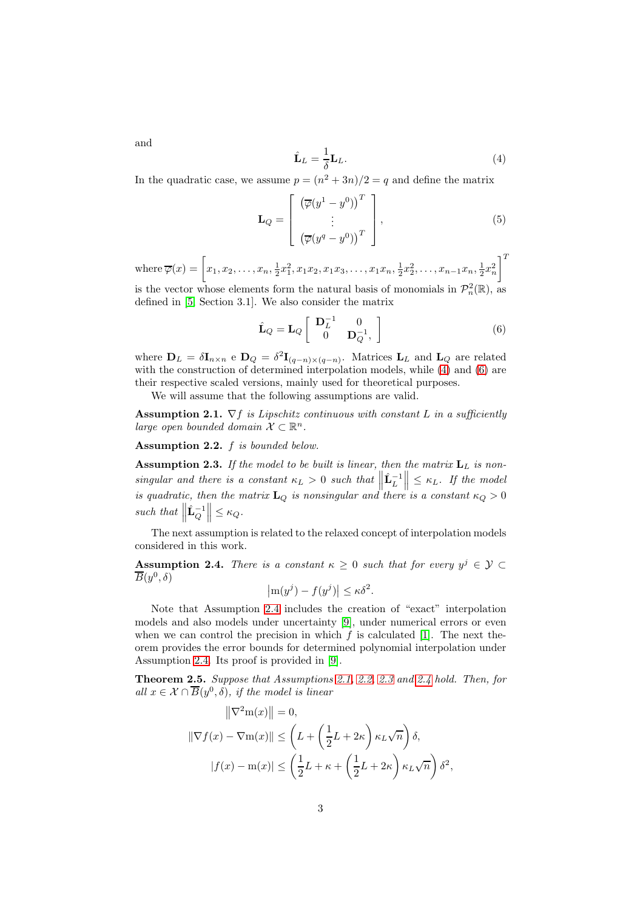<span id="page-2-6"></span><span id="page-2-0"></span> $\hat{\mathbf{L}}_L=\frac{1}{\bar{\mathbf{x}}}$ δ  $\mathbf{L}_L.$  (4)

In the quadratic case, we assume  $p = (n^2 + 3n)/2 = q$  and define the matrix

$$
\mathbf{L}_Q = \begin{bmatrix} \left( \overline{\varphi}(y^1 - y^0) \right)^T \\ \vdots \\ \left( \overline{\varphi}(y^q - y^0) \right)^T \end{bmatrix}, \tag{5}
$$

 $\text{where } \overline{\varphi}(x) = \left[x_1, x_2, \ldots, x_n, \frac{1}{2}x_1^2, x_1x_2, x_1x_3, \ldots, x_1x_n, \frac{1}{2}x_2^2, \ldots, x_{n-1}x_n, \frac{1}{2}x_n^2\right.$  $\overline{1}^T$ 

is the vector whose elements form the natural basis of monomials in  $\mathcal{P}_n^2(\mathbb{R})$ , as defined in [\[5,](#page-11-0) Section 3.1]. We also consider the matrix

<span id="page-2-1"></span>
$$
\hat{\mathbf{L}}_Q = \mathbf{L}_Q \begin{bmatrix} \mathbf{D}_L^{-1} & 0 \\ 0 & \mathbf{D}_Q^{-1}, \end{bmatrix}
$$
 (6)

where  $\mathbf{D}_L = \delta \mathbf{I}_{n \times n}$  e  $\mathbf{D}_Q = \delta^2 \mathbf{I}_{(q-n) \times (q-n)}$ . Matrices  $\mathbf{L}_L$  and  $\mathbf{L}_Q$  are related with the construction of determined interpolation models, while [\(4\)](#page-2-0) and [\(6\)](#page-2-1) are their respective scaled versions, mainly used for theoretical purposes.

We will assume that the following assumptions are valid.

<span id="page-2-3"></span>**Assumption 2.1.**  $\nabla f$  is Lipschitz continuous with constant L in a sufficiently large open bounded domain  $\mathcal{X} \subset \mathbb{R}^n$ .

<span id="page-2-4"></span>Assumption 2.2. f is bounded below.

<span id="page-2-5"></span>**Assumption 2.3.** If the model to be built is linear, then the matrix  $L_L$  is nonsingular and there is a constant  $\kappa_L > 0$  such that singular and there is a constant  $\kappa_L > 0$  such that  $\left\| \hat{\mathbf{L}}_L^{-1} \right\| \leq \kappa_L$ . If the model<br>is quadratic, then the matrix  $\mathbf{L}_Q$  is nonsingular and there is a constant  $\kappa_Q > 0$ such that  $\parallel$  $\hat{\mathbf{L}}_Q^{-1}\Big\|\leq \kappa_Q.$ 

The next assumption is related to the relaxed concept of interpolation models considered in this work.

<span id="page-2-2"></span>Assumption 2.4. There is a constant  $\kappa \geq 0$  such that for every  $y^j \in \mathcal{Y} \subset \overline{\mathcal{Y}}$  $\overline B(y^0,\delta)$ 

$$
\left| \mathrm{m}(y^j) - f(y^j) \right| \le \kappa \delta^2.
$$

Note that Assumption [2.4](#page-2-2) includes the creation of "exact" interpolation models and also models under uncertainty [\[9\]](#page-11-4), under numerical errors or even when we can control the precision in which  $f$  is calculated [\[1\]](#page-11-7). The next theorem provides the error bounds for determined polynomial interpolation under Assumption [2.4.](#page-2-2) Its proof is provided in [\[9\]](#page-11-4).

Theorem 2.5. Suppose that Assumptions [2.1,](#page-2-3) [2.2,](#page-2-4) [2.3](#page-2-5) and [2.4](#page-2-2) hold. Then, for all  $x \in \mathcal{X} \cap \overline{B}(y^0, \delta)$ , if the model is linear

$$
\|\nabla^2 \mathbf{m}(x)\| = 0,
$$
  

$$
\|\nabla f(x) - \nabla \mathbf{m}(x)\| \le \left( L + \left(\frac{1}{2}L + 2\kappa\right) \kappa_L \sqrt{n} \right) \delta,
$$
  

$$
|f(x) - \mathbf{m}(x)| \le \left( \frac{1}{2}L + \kappa + \left(\frac{1}{2}L + 2\kappa\right) \kappa_L \sqrt{n} \right) \delta^2,
$$

and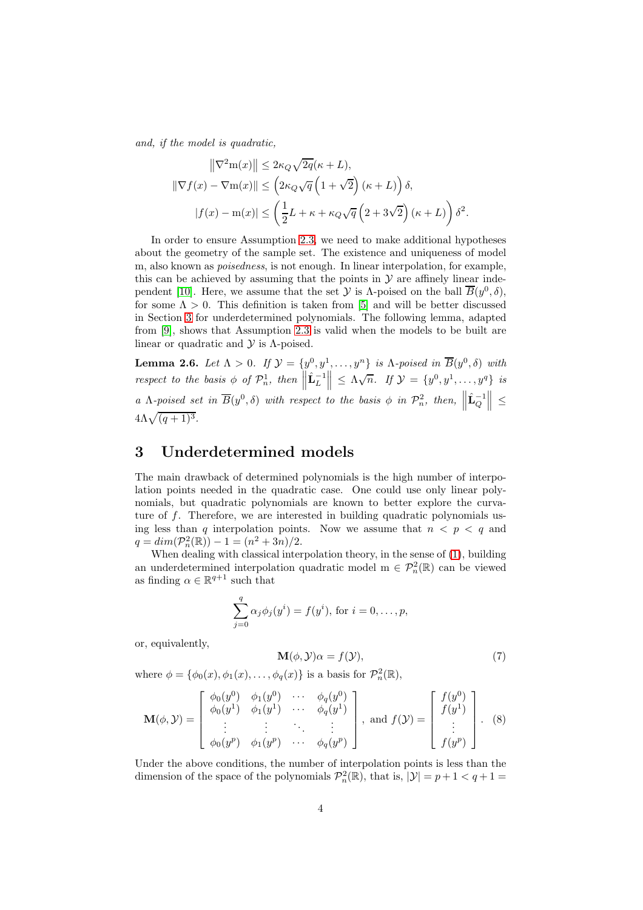and, if the model is quadratic,

$$
\|\nabla^2 \mathbf{m}(x)\| \le 2\kappa_Q \sqrt{2q}(\kappa + L),
$$
  

$$
\|\nabla f(x) - \nabla \mathbf{m}(x)\| \le \left(2\kappa_Q \sqrt{q} \left(1 + \sqrt{2}\right)(\kappa + L)\right)\delta,
$$
  

$$
|f(x) - \mathbf{m}(x)| \le \left(\frac{1}{2}L + \kappa + \kappa_Q \sqrt{q} \left(2 + 3\sqrt{2}\right)(\kappa + L)\right)\delta^2.
$$

In order to ensure Assumption [2.3,](#page-2-5) we need to make additional hypotheses about the geometry of the sample set. The existence and uniqueness of model m, also known as *poisedness*, is not enough. In linear interpolation, for example, this can be achieved by assuming that the points in  $\mathcal Y$  are affinely linear inde-pendent [\[10\]](#page-11-8). Here, we assume that the set  $\mathcal Y$  is  $\Lambda$ -poised on the ball  $\overline{B}(y^0,\delta)$ , for some  $\Lambda > 0$ . This definition is taken from [\[5\]](#page-11-0) and will be better discussed in Section [3](#page-3-0) for underdetermined polynomials. The following lemma, adapted from [\[9\]](#page-11-4), shows that Assumption [2.3](#page-2-5) is valid when the models to be built are linear or quadratic and  $\mathcal Y$  is  $\Lambda$ -poised.

**Lemma 2.6.** Let  $\Lambda > 0$ . If  $\mathcal{Y} = \{y^0, y^1, \ldots, y^n\}$  is  $\Lambda$ -poised in  $\overline{B}(y^0, \delta)$  with respect to the basis  $\phi$  of  $\mathcal{P}_n^1$ , then  $\parallel$  $\hat{\mathbf{L}}_L^{-1}\Big\|\leq \Lambda\sqrt{n}$ . If  $\mathcal{Y} = \{y^0, y^1, \ldots, y^q\}$  is a  $\Lambda$ -poised set in  $\overline{B}(y^0,\delta)$  with respect to the basis  $\phi$  in  $\mathcal{P}_n^2$ , then,  $\parallel$  $\hat{\mathbf{L}}_{Q}^{-1}$   $\Big\|$   $\leq$  $4\Lambda\sqrt{(q+1)^3}$ .

#### <span id="page-3-0"></span>3 Underdetermined models

The main drawback of determined polynomials is the high number of interpolation points needed in the quadratic case. One could use only linear polynomials, but quadratic polynomials are known to better explore the curvature of f. Therefore, we are interested in building quadratic polynomials using less than q interpolation points. Now we assume that  $n < p < q$  and  $q = dim(\mathcal{P}_n^2(\mathbb{R})) - 1 = (n^2 + 3n)/2.$ 

When dealing with classical interpolation theory, in the sense of [\(1\)](#page-0-0), building an underdetermined interpolation quadratic model  $m \in \mathcal{P}_n^2(\mathbb{R})$  can be viewed as finding  $\alpha \in \mathbb{R}^{q+1}$  such that

$$
\sum_{j=0}^{q} \alpha_j \phi_j(y^i) = f(y^i), \text{ for } i = 0, ..., p,
$$

or, equivalently,

<span id="page-3-1"></span>
$$
\mathbf{M}(\phi, \mathcal{Y})\alpha = f(\mathcal{Y}),\tag{7}
$$

where  $\phi = {\phi_0(x), \phi_1(x), \dots, \phi_q(x)}$  is a basis for  $\mathcal{P}_n^2(\mathbb{R}),$ 

<span id="page-3-2"></span>
$$
\mathbf{M}(\phi,\mathcal{Y}) = \begin{bmatrix} \phi_0(y^0) & \phi_1(y^0) & \cdots & \phi_q(y^0) \\ \phi_0(y^1) & \phi_1(y^1) & \cdots & \phi_q(y^1) \\ \vdots & \vdots & \ddots & \vdots \\ \phi_0(y^p) & \phi_1(y^p) & \cdots & \phi_q(y^p) \end{bmatrix}, \text{ and } f(\mathcal{Y}) = \begin{bmatrix} f(y^0) \\ f(y^1) \\ \vdots \\ f(y^p) \end{bmatrix}.
$$
 (8)

Under the above conditions, the number of interpolation points is less than the dimension of the space of the polynomials  $\mathcal{P}_n^2(\mathbb{R})$ , that is,  $|\mathcal{Y}| = p + 1 < q + 1 =$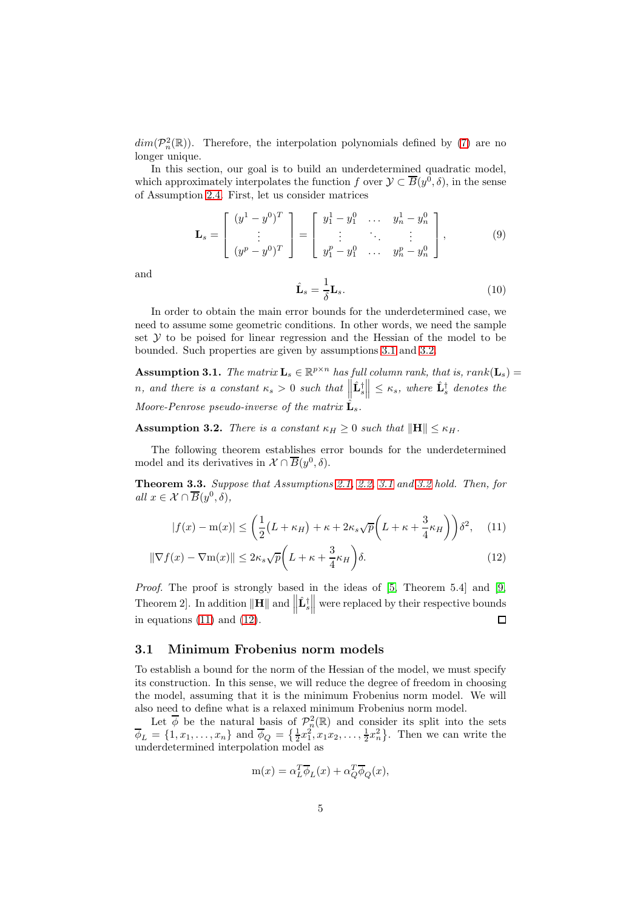$dim(\mathcal{P}_n^2(\mathbb{R}))$ . Therefore, the interpolation polynomials defined by [\(7\)](#page-3-1) are no longer unique.

In this section, our goal is to build an underdetermined quadratic model, which approximately interpolates the function  $f$  over  $\mathcal{Y} \subset \overline{B}(y^0, \delta)$ , in the sense of Assumption [2.4.](#page-2-2) First, let us consider matrices

$$
\mathbf{L}_s = \begin{bmatrix} (y^1 - y^0)^T \\ \vdots \\ (y^p - y^0)^T \end{bmatrix} = \begin{bmatrix} y_1^1 - y_1^0 & \dots & y_n^1 - y_n^0 \\ \vdots & \ddots & \vdots \\ y_1^p - y_1^0 & \dots & y_n^p - y_n^0 \end{bmatrix},
$$
(9)

and

<span id="page-4-5"></span><span id="page-4-2"></span>
$$
\hat{\mathbf{L}}_s = \frac{1}{\delta} \mathbf{L}_s. \tag{10}
$$

In order to obtain the main error bounds for the underdetermined case, we need to assume some geometric conditions. In other words, we need the sample set  $Y$  to be poised for linear regression and the Hessian of the model to be bounded. Such properties are given by assumptions [3.1](#page-4-0) and [3.2.](#page-4-1)

<span id="page-4-0"></span>**Assumption 3.1.** The matrix  $\mathbf{L}_s \in \mathbb{R}^{p \times n}$  has full column rank, that is, rank $(\mathbf{L}_s)$  = n, and there is a constant  $\kappa_s > 0$  such that  $\parallel$  $\hat{\mathbf{L}}_s^{\dagger} \middle\| \leq \kappa_s$ , where  $\hat{\mathbf{L}}_s^{\dagger}$  denotes the Moore-Penrose pseudo-inverse of the matrix  $\hat{\mathbf{L}}_s$ .

<span id="page-4-1"></span>**Assumption 3.2.** There is a constant  $\kappa_H \geq 0$  such that  $\|\mathbf{H}\| \leq \kappa_H$ .

The following theorem establishes error bounds for the underdetermined model and its derivatives in  $\mathcal{X} \cap \overline{B}(y^0, \delta)$ .

<span id="page-4-4"></span>Theorem 3.3. Suppose that Assumptions [2.1,](#page-2-3) [2.2,](#page-2-4) [3.1](#page-4-0) and [3.2](#page-4-1) hold. Then, for all  $x \in \mathcal{X} \cap \overline{B}(y^0,\delta),$ 

$$
|f(x) - m(x)| \le \left(\frac{1}{2}(L + \kappa_H) + \kappa + 2\kappa_s \sqrt{p}\left(L + \kappa + \frac{3}{4}\kappa_H\right)\right)\delta^2, \quad (11)
$$

$$
\|\nabla f(x) - \nabla \mathbf{m}(x)\| \le 2\kappa_s \sqrt{p} \left( L + \kappa + \frac{3}{4} \kappa_H \right) \delta. \tag{12}
$$

Proof. The proof is strongly based in the ideas of [\[5,](#page-11-0) Theorem 5.4] and [\[9,](#page-11-4) Theorem 2]. In addition  $\|\mathbf{H}\|$  and  $\|$  $\hat{\mathbf{L}}_s^{\dagger}$  were replaced by their respective bounds in equations  $(11)$  and  $(12)$ .

#### 3.1 Minimum Frobenius norm models

To establish a bound for the norm of the Hessian of the model, we must specify its construction. In this sense, we will reduce the degree of freedom in choosing the model, assuming that it is the minimum Frobenius norm model. We will also need to define what is a relaxed minimum Frobenius norm model.

Let  $\phi$  be the natural basis of  $\mathcal{P}^2_{n}(\mathbb{R})$  and consider its split into the sets  $\overline{\phi}_L = \{1, x_1, \ldots, x_n\}$  and  $\overline{\phi}_Q = \{\frac{1}{2}x_1^2, x_1x_2, \ldots, \frac{1}{2}x_n^2\}$ . Then we can write the underdetermined interpolation model as

<span id="page-4-3"></span>
$$
m(x) = \alpha_L^T \overline{\phi}_L(x) + \alpha_Q^T \overline{\phi}_Q(x),
$$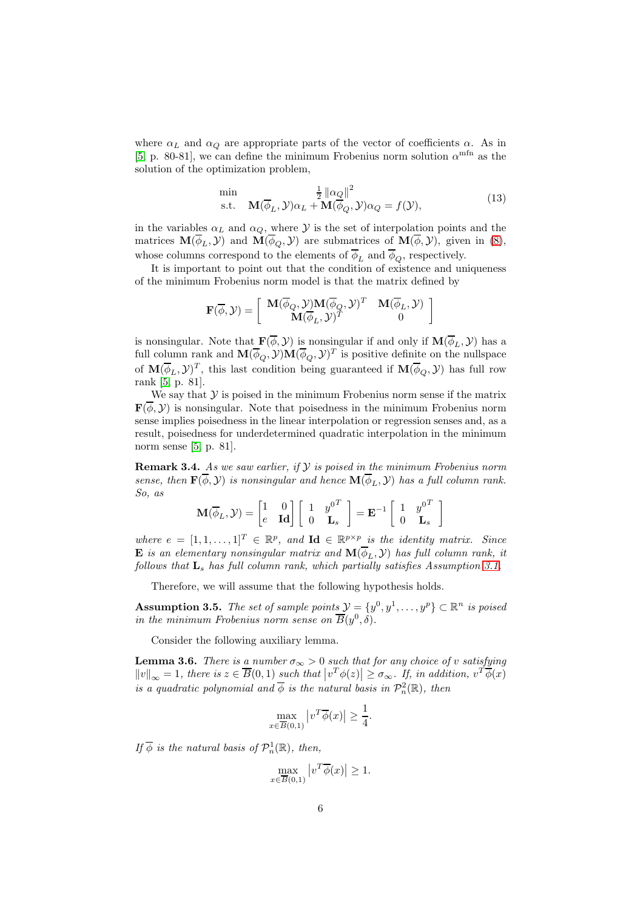where  $\alpha_L$  and  $\alpha_Q$  are appropriate parts of the vector of coefficients  $\alpha$ . As in [\[5,](#page-11-0) p. 80-81], we can define the minimum Frobenius norm solution  $\alpha^{\text{mfn}}$  as the solution of the optimization problem,

<span id="page-5-1"></span>
$$
\min_{\mathbf{s}.\mathbf{t}} \quad \mathbf{M}(\overline{\phi}_L, \mathcal{Y}) \alpha_L + \mathbf{M}(\overline{\phi}_Q, \mathcal{Y}) \alpha_Q = f(\mathcal{Y}), \tag{13}
$$

in the variables  $\alpha_L$  and  $\alpha_Q$ , where  $\mathcal Y$  is the set of interpolation points and the matrices  $\mathbf{M}(\overline{\phi}_L, \mathcal{Y})$  and  $\mathbf{M}(\overline{\phi}_Q, \mathcal{Y})$  are submatrices of  $\mathbf{M}(\overline{\phi}, \mathcal{Y})$ , given in [\(8\)](#page-3-2), whose columns correspond to the elements of  $\overline{\phi}_L$  and  $\overline{\phi}_O$ , respectively.

It is important to point out that the condition of existence and uniqueness of the minimum Frobenius norm model is that the matrix defined by

$$
\mathbf{F}(\overline{\phi}, \mathcal{Y}) = \left[ \begin{array}{cc} \mathbf{M}(\overline{\phi}_Q, \mathcal{Y}) \mathbf{M}(\overline{\phi}_Q, \mathcal{Y})^T & \mathbf{M}(\overline{\phi}_L, \mathcal{Y}) \\ \mathbf{M}(\overline{\phi}_L, \mathcal{Y})^T & 0 \end{array} \right]
$$

is nonsingular. Note that  $\mathbf{F}(\overline{\phi}, \mathcal{Y})$  is nonsingular if and only if  $\mathbf{M}(\overline{\phi}_L, \mathcal{Y})$  has a full column rank and  $\mathbf{M}(\overline{\phi}_Q, \mathcal{Y})\mathbf{M}(\overline{\phi}_Q, \mathcal{Y})^T$  is positive definite on the nullspace of  $\mathbf{M}(\overline{\phi}_L, \mathcal{Y})^T$ , this last condition being guaranteed if  $\mathbf{M}(\overline{\phi}_Q, \mathcal{Y})$  has full row rank [\[5,](#page-11-0) p. 81].

We say that  $\mathcal Y$  is poised in the minimum Frobenius norm sense if the matrix  $\mathbf{F}(\overline{\phi}, \mathcal{Y})$  is nonsingular. Note that poisedness in the minimum Frobenius norm sense implies poisedness in the linear interpolation or regression senses and, as a result, poisedness for underdetermined quadratic interpolation in the minimum norm sense [\[5,](#page-11-0) p. 81].

**Remark 3.4.** As we saw earlier, if  $\mathcal{Y}$  is poised in the minimum Frobenius norm sense, then  $\mathbf{F}(\overline{\phi}, \mathcal{Y})$  is nonsingular and hence  $\mathbf{M}(\overline{\phi}_L, \mathcal{Y})$  has a full column rank. So, as

$$
\mathbf{M}(\overline{\phi}_L, \mathcal{Y}) = \begin{bmatrix} 1 & 0 \\ e & \mathbf{Id} \end{bmatrix} \begin{bmatrix} 1 & y^{0^T} \\ 0 & \mathbf{L}_s \end{bmatrix} = \mathbf{E}^{-1} \begin{bmatrix} 1 & y^{0^T} \\ 0 & \mathbf{L}_s \end{bmatrix}
$$

where  $e = [1, 1, ..., 1]^T \in \mathbb{R}^p$ , and  $\mathbf{Id} \in \mathbb{R}^{p \times p}$  is the identity matrix. Since **E** is an elementary nonsingular matrix and  $\mathbf{M}(\overline{\phi}_L, \mathcal{Y})$  has full column rank, it follows that  $\mathbf{L}_s$  has full column rank, which partially satisfies Assumption [3.1.](#page-4-0)

Therefore, we will assume that the following hypothesis holds.

<span id="page-5-2"></span>**Assumption 3.5.** The set of sample points  $\mathcal{Y} = \{y^0, y^1, \ldots, y^p\} \subset \mathbb{R}^n$  is poised in the minimum Frobenius norm sense on  $\overline{B}(y^0,\delta)$ .

Consider the following auxiliary lemma.

<span id="page-5-0"></span>**Lemma 3.6.** There is a number  $\sigma_{\infty} > 0$  such that for any choice of v satisfying  $||v||_{\infty} = 1$ , there is  $z \in \overline{B}(0,1)$  such that  $|v^T \phi(z)| \ge \sigma_{\infty}$ . If, in addition,  $v^T \overline{\phi}(x)$ is a quadratic polynomial and  $\overline{\phi}$  is the natural basis in  $\mathcal{P}_n^2(\mathbb{R})$ , then

$$
\max_{x \in \overline{B}(0,1)} |v^T \overline{\phi}(x)| \ge \frac{1}{4}.
$$

If  $\overline{\phi}$  is the natural basis of  $\mathcal{P}_n^1(\mathbb{R})$ , then,

$$
\max_{x \in \overline{B}(0,1)} |v^T \overline{\phi}(x)| \ge 1.
$$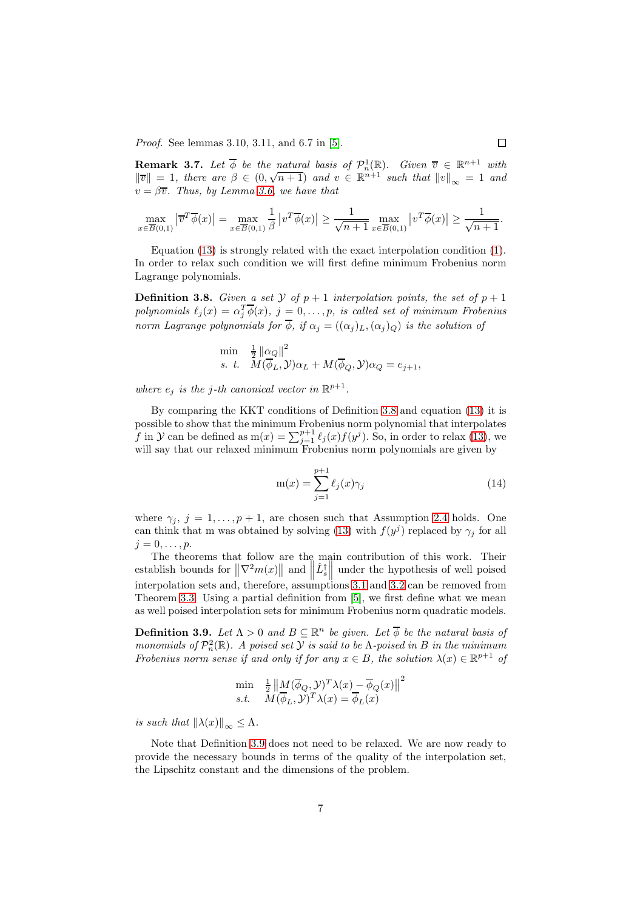Proof. See lemmas 3.10, 3.11, and 6.7 in [\[5\]](#page-11-0).

<span id="page-6-3"></span>**Remark 3.7.** Let  $\overline{\phi}$  be the natural basis of  $\mathcal{P}_n^1(\mathbb{R})$ . Given  $\overline{v} \in \mathbb{R}^{n+1}$  with  $\|\overline{v}\| = 1$ , there are  $\beta \in (0, \sqrt{n+1})$  and  $v \in \mathbb{R}^{n+1}$  such that  $\|v\|_{\infty} = 1$  and  $v = \beta \overline{v}$ . Thus, by Lemma [3.6,](#page-5-0) we have that

$$
\max_{x \in \overline{B}(0,1)} |\overline{v}^T \overline{\phi}(x)| = \max_{x \in \overline{B}(0,1)} \frac{1}{\beta} |v^T \overline{\phi}(x)| \ge \frac{1}{\sqrt{n+1}} \max_{x \in \overline{B}(0,1)} |v^T \overline{\phi}(x)| \ge \frac{1}{\sqrt{n+1}}.
$$

Equation [\(13\)](#page-5-1) is strongly related with the exact interpolation condition [\(1\)](#page-0-0). In order to relax such condition we will first define minimum Frobenius norm Lagrange polynomials.

<span id="page-6-0"></span>**Definition 3.8.** Given a set  $\mathcal{Y}$  of  $p + 1$  interpolation points, the set of  $p + 1$ polynomials  $\ell_j(x) = \alpha_j^T \overline{\phi}(x)$ ,  $j = 0, \ldots, p$ , is called set of minimum Frobenius norm Lagrange polynomials for  $\overline{\phi}$ , if  $\alpha_i = ((\alpha_i)_L, (\alpha_i)_Q)$  is the solution of

$$
\min_{s. t.} \frac{1}{2} \left\| \alpha_Q \right\|^2
$$
  
s. t. 
$$
M(\overline{\phi}_L, \mathcal{Y}) \alpha_L + M(\overline{\phi}_Q, \mathcal{Y}) \alpha_Q = e_{j+1},
$$

where  $e_j$  is the j-th canonical vector in  $\mathbb{R}^{p+1}$ .

By comparing the KKT conditions of Definition [3.8](#page-6-0) and equation [\(13\)](#page-5-1) it is possible to show that the minimum Frobenius norm polynomial that interpolates f in  $\mathcal Y$  can be defined as  $m(x) = \sum_{j=1}^{p+1} \ell_j(x) f(y^j)$ . So, in order to relax [\(13\)](#page-5-1), we will say that our relaxed minimum Frobenius norm polynomials are given by

<span id="page-6-2"></span>
$$
m(x) = \sum_{j=1}^{p+1} \ell_j(x)\gamma_j
$$
 (14)

where  $\gamma_j$ ,  $j = 1, \ldots, p + 1$ , are chosen such that Assumption [2.4](#page-2-2) holds. One can think that m was obtained by solving [\(13\)](#page-5-1) with  $f(y^j)$  replaced by  $\gamma_j$  for all  $j = 0, \ldots, p.$ 

The theorems that follow are the main contribution of this work. Their establish bounds for  $\|\nabla^2 m(x)\|$  and  $\|\hat{L}_s^{\dagger}\|$  under the hypothesis of well poised interpolation sets and, therefore, assumptions [3.1](#page-4-0) and [3.2](#page-4-1) can be removed from Theorem [3.3.](#page-4-4) Using a partial definition from [\[5\]](#page-11-0), we first define what we mean as well poised interpolation sets for minimum Frobenius norm quadratic models.

<span id="page-6-1"></span>**Definition 3.9.** Let  $\Lambda > 0$  and  $B \subseteq \mathbb{R}^n$  be given. Let  $\overline{\phi}$  be the natural basis of monomials of  $\mathcal{P}_n^2(\mathbb{R})$ . A poised set  $\mathcal Y$  is said to be  $\Lambda$ -poised in  $B$  in the minimum Frobenius norm sense if and only if for any  $x \in B$ , the solution  $\lambda(x) \in \mathbb{R}^{p+1}$  of

$$
\min_{s.t.} \quad \frac{1}{2} \left\| M(\overline{\phi}_Q, \mathcal{Y})^T \lambda(x) - \overline{\phi}_Q(x) \right\|^2
$$
  
s.t. 
$$
M(\overline{\phi}_L, \mathcal{Y})^T \lambda(x) = \overline{\phi}_L(x)
$$

is such that  $\|\lambda(x)\|_{\infty} \leq \Lambda$ .

Note that Definition [3.9](#page-6-1) does not need to be relaxed. We are now ready to provide the necessary bounds in terms of the quality of the interpolation set, the Lipschitz constant and the dimensions of the problem.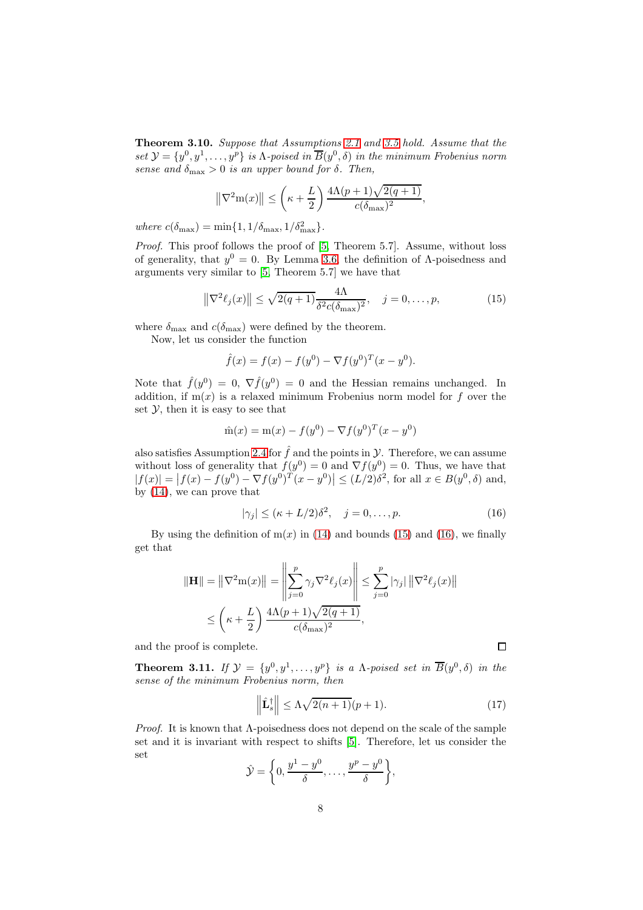Theorem 3.10. Suppose that Assumptions [2.1](#page-2-3) and [3.5](#page-5-2) hold. Assume that the set  $\mathcal{Y} = \{y^0, y^1, \ldots, y^p\}$  is  $\Lambda$ -poised in  $\overline{B}(y^0, \delta)$  in the minimum Frobenius norm sense and  $\delta_{\text{max}} > 0$  is an upper bound for  $\delta$ . Then,

$$
\left\|\nabla^2 \mathbf{m}(x)\right\| \le \left(\kappa + \frac{L}{2}\right) \frac{4\Lambda(p+1)\sqrt{2(q+1)}}{c(\delta_{\max})^2},
$$

where  $c(\delta_{\text{max}}) = \min\{1, 1/\delta_{\text{max}}, 1/\delta_{\text{max}}^2\}.$ 

Proof. This proof follows the proof of [\[5,](#page-11-0) Theorem 5.7]. Assume, without loss of generality, that  $y^0 = 0$ . By Lemma [3.6,](#page-5-0) the definition of  $\Lambda$ -poisedness and arguments very similar to [\[5,](#page-11-0) Theorem 5.7] we have that

<span id="page-7-0"></span>
$$
\left\|\nabla^2 \ell_j(x)\right\| \le \sqrt{2(q+1)} \frac{4\Lambda}{\delta^2 c(\delta_{\text{max}})^2}, \quad j = 0, \dots, p,\tag{15}
$$

where  $\delta_{\text{max}}$  and  $c(\delta_{\text{max}})$  were defined by the theorem.

Now, let us consider the function

$$
\hat{f}(x) = f(x) - f(y^0) - \nabla f(y^0)^T (x - y^0).
$$

Note that  $\hat{f}(y^0) = 0$ ,  $\nabla \hat{f}(y^0) = 0$  and the Hessian remains unchanged. In addition, if  $m(x)$  is a relaxed minimum Frobenius norm model for f over the set  $\mathcal{V}$ , then it is easy to see that

$$
\hat{m}(x) = m(x) - f(y^0) - \nabla f(y^0)^T (x - y^0)
$$

also satisfies Assumption [2.4](#page-2-2) for  $\hat{f}$  and the points in  $\mathcal{Y}$ . Therefore, we can assume without loss of generality that  $f(y^0) = 0$  and  $\nabla f(y^0) = 0$ . Thus, we have that  $|f(x)| = |f(x) - f(y^0) - \nabla f(y^0)^T (x - y^0)| \le (L/2) \delta^2$ , for all  $x \in B(y^0, \delta)$  and, by [\(14\)](#page-6-2), we can prove that

<span id="page-7-1"></span>
$$
|\gamma_j| \le (\kappa + L/2)\delta^2, \quad j = 0, \dots, p. \tag{16}
$$

By using the definition of  $m(x)$  in [\(14\)](#page-6-2) and bounds [\(15\)](#page-7-0) and [\(16\)](#page-7-1), we finally get that

$$
\|\mathbf{H}\| = \left\|\nabla^2 \mathbf{m}(x)\right\| = \left\|\sum_{j=0}^p \gamma_j \nabla^2 \ell_j(x)\right\| \le \sum_{j=0}^p |\gamma_j| \left\|\nabla^2 \ell_j(x)\right\|
$$
  

$$
\le \left(\kappa + \frac{L}{2}\right) \frac{4\Lambda(p+1)\sqrt{2(q+1)}}{c(\delta_{\text{max}})^2},
$$

and the proof is complete.

**Theorem 3.11.** If  $\mathcal{Y} = \{y^0, y^1, \ldots, y^p\}$  is a  $\Lambda$ -poised set in  $\overline{B}(y^0, \delta)$  in the sense of the minimum Frobenius norm, then

$$
\left\|\hat{\mathbf{L}}_{s}^{\dagger}\right\| \leq \Lambda \sqrt{2(n+1)}(p+1). \tag{17}
$$

*Proof.* It is known that  $\Lambda$ -poisedness does not depend on the scale of the sample set and it is invariant with respect to shifts [\[5\]](#page-11-0). Therefore, let us consider the set

$$
\hat{\mathcal{Y}} = \left\{0, \frac{y^1 - y^0}{\delta}, \dots, \frac{y^p - y^0}{\delta}\right\},\
$$

 $\Box$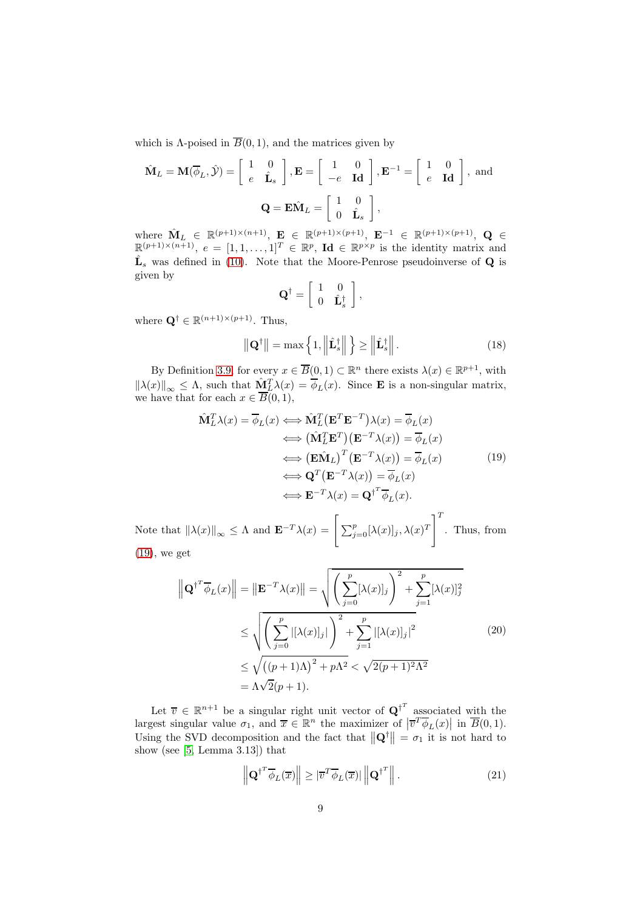which is  $\Lambda$ -poised in  $\overline{B}(0,1)$ , and the matrices given by

$$
\hat{\mathbf{M}}_L = \mathbf{M}(\overline{\phi}_L, \hat{\mathbf{y}}) = \begin{bmatrix} 1 & 0 \\ e & \hat{\mathbf{L}}_s \end{bmatrix}, \mathbf{E} = \begin{bmatrix} 1 & 0 \\ -e & \mathbf{Id} \end{bmatrix}, \mathbf{E}^{-1} = \begin{bmatrix} 1 & 0 \\ e & \mathbf{Id} \end{bmatrix}, \text{ and}
$$

$$
\mathbf{Q} = \mathbf{E} \hat{\mathbf{M}}_L = \begin{bmatrix} 1 & 0 \\ 0 & \hat{\mathbf{L}}_s \end{bmatrix},
$$

where  $\mathbf{\hat{M}}_L \in \mathbb{R}^{(p+1)\times(n+1)}$ ,  $\mathbf{E} \in \mathbb{R}^{(p+1)\times(p+1)}$ ,  $\mathbf{E}^{-1} \in \mathbb{R}^{(p+1)\times(p+1)}$ ,  $\mathbf{Q} \in \mathbb{R}^{(p+1)\times(n+1)}$ ,  $e = [1, 1, ..., 1]^T \in \mathbb{R}^p$ ,  $\mathbf{Id} \in \mathbb{R}^{p \times p}$  is the identity matrix and  $\hat{\mathbf{L}}_s$  was defined in [\(10\)](#page-4-5). Note that the Moore-Penrose pseudoinverse of **Q** is given by

$$
\mathbf{Q}^{\dagger} = \left[ \begin{array}{cc} 1 & 0 \\ 0 & \hat{\mathbf{L}}_{s}^{\dagger} \end{array} \right]
$$

where  $\mathbf{Q}^{\dagger} \in \mathbb{R}^{(n+1)\times (p+1)}$ . Thus,

<span id="page-8-3"></span>
$$
\|\mathbf{Q}^{\dagger}\| = \max\left\{1, \left\|\hat{\mathbf{L}}_s^{\dagger}\right\|\right\} \ge \left\|\hat{\mathbf{L}}_s^{\dagger}\right\|.
$$
 (18)

,

By Definition [3.9,](#page-6-1) for every  $x \in \overline{B}(0,1) \subset \mathbb{R}^n$  there exists  $\lambda(x) \in \mathbb{R}^{p+1}$ , with  $\|\lambda(x)\|_{\infty} \leq \Lambda$ , such that  $\underline{\hat{M}}_L^T \lambda(x) = \overline{\phi}_L(x)$ . Since **E** is a non-singular matrix, we have that for each  $x \in B(0,1)$ ,

<span id="page-8-0"></span>
$$
\hat{\mathbf{M}}_L^T \lambda(x) = \overline{\phi}_L(x) \Longleftrightarrow \hat{\mathbf{M}}_L^T (\mathbf{E}^T \mathbf{E}^{-T}) \lambda(x) = \overline{\phi}_L(x)
$$
\n
$$
\Longleftrightarrow (\hat{\mathbf{M}}_L^T \mathbf{E}^T) (\mathbf{E}^{-T} \lambda(x)) = \overline{\phi}_L(x)
$$
\n
$$
\Longleftrightarrow (\mathbf{E} \hat{\mathbf{M}}_L)^T (\mathbf{E}^{-T} \lambda(x)) = \overline{\phi}_L(x)
$$
\n
$$
\Longleftrightarrow \mathbf{Q}^T (\mathbf{E}^{-T} \lambda(x)) = \overline{\phi}_L(x)
$$
\n
$$
\Longleftrightarrow \mathbf{E}^{-T} \lambda(x) = \mathbf{Q}^{\dagger T} \overline{\phi}_L(x).
$$
\n(19)

Note that  $\|\lambda(x)\|_{\infty} \leq \Lambda$  and  $\mathbf{E}^{-T}\lambda(x) = \left[\sum_{j=0}^p [\lambda(x)]_j, \lambda(x)^T\right]^T$ . Thus, from [\(19\)](#page-8-0), we get

<span id="page-8-1"></span>
$$
\left\| \mathbf{Q}^{\dagger^T} \overline{\phi}_L(x) \right\| = \left\| \mathbf{E}^{-T} \lambda(x) \right\| = \sqrt{\left( \sum_{j=0}^p [\lambda(x)]_j \right)^2 + \sum_{j=1}^p [\lambda(x)]_j^2}
$$
  
\n
$$
\leq \sqrt{\left( \sum_{j=0}^p |[\lambda(x)]_j| \right)^2 + \sum_{j=1}^p |[\lambda(x)]_j|^2}
$$
  
\n
$$
\leq \sqrt{\left( (p+1)\Lambda \right)^2 + p\Lambda^2} < \sqrt{2(p+1)^2 \Lambda^2}
$$
  
\n
$$
= \Lambda \sqrt{2}(p+1).
$$
\n(20)

Let  $\overline{v} \in \mathbb{R}^{n+1}$  be a singular right unit vector of  $\mathbf{Q}^{\dagger}$ <sup>*r*</sup> associated with the largest singular value  $\sigma_1$ , and  $\overline{x} \in \mathbb{R}^n$  the maximizer of  $|\overline{v}^T \overline{\phi}_L(x)|$  in  $\overline{B}(0,1)$ . Using the SVD decomposition and the fact that  $\|\mathbf{Q}^{\dagger}\| = \sigma_1$  it is not hard to show (see [\[5,](#page-11-0) Lemma 3.13]) that

<span id="page-8-2"></span>
$$
\left\| \mathbf{Q}^{\dagger^T} \overline{\phi}_L(\overline{x}) \right\| \geq |\overline{v}^T \overline{\phi}_L(\overline{x})| \left\| \mathbf{Q}^{\dagger^T} \right\|.
$$
 (21)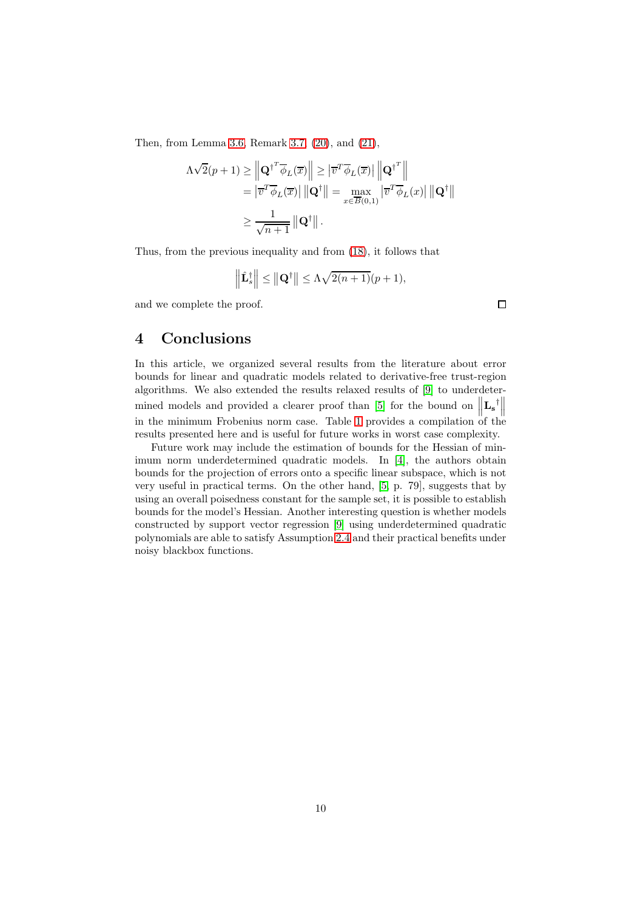Then, from Lemma [3.6,](#page-5-0) Remark [3.7,](#page-6-3) [\(20\)](#page-8-1), and [\(21\)](#page-8-2),

$$
\Lambda \sqrt{2}(p+1) \geq \left\| \mathbf{Q}^{\dagger T} \overline{\phi}_L(\overline{x}) \right\| \geq \left| \overline{v}^T \overline{\phi}_L(\overline{x}) \right| \left\| \mathbf{Q}^{\dagger T} \right\|
$$
  
\n
$$
= \left| \overline{v}^T \overline{\phi}_L(\overline{x}) \right| \left\| \mathbf{Q}^{\dagger} \right\| = \max_{x \in \overline{B}(0,1)} \left| \overline{v}^T \overline{\phi}_L(x) \right| \left\| \mathbf{Q}^{\dagger} \right\|
$$
  
\n
$$
\geq \frac{1}{\sqrt{n+1}} \left\| \mathbf{Q}^{\dagger} \right\|.
$$

Thus, from the previous inequality and from [\(18\)](#page-8-3), it follows that

$$
\left\|\hat{\mathbf{L}}_{s}^{\dagger}\right\| \leq \left\|\mathbf{Q}^{\dagger}\right\| \leq \Lambda\sqrt{2(n+1)}(p+1),
$$

and we complete the proof.

## <span id="page-9-0"></span>4 Conclusions

In this article, we organized several results from the literature about error bounds for linear and quadratic models related to derivative-free trust-region algorithms. We also extended the results relaxed results of [\[9\]](#page-11-4) to underdeter-mined models and provided a clearer proof than [\[5\]](#page-11-0) for the bound on  $\|\mathbf{L}_{\mathbf{s}}^{\dagger}\|$ in the minimum Frobenius norm case. Table [1](#page-10-0) provides a compilation of the results presented here and is useful for future works in worst case complexity.

Future work may include the estimation of bounds for the Hessian of minimum norm underdetermined quadratic models. In [\[4\]](#page-11-9), the authors obtain bounds for the projection of errors onto a specific linear subspace, which is not very useful in practical terms. On the other hand, [\[5,](#page-11-0) p. 79], suggests that by using an overall poisedness constant for the sample set, it is possible to establish bounds for the model's Hessian. Another interesting question is whether models constructed by support vector regression [\[9\]](#page-11-4) using underdetermined quadratic polynomials are able to satisfy Assumption [2.4](#page-2-2) and their practical benefits under noisy blackbox functions.

 $\Box$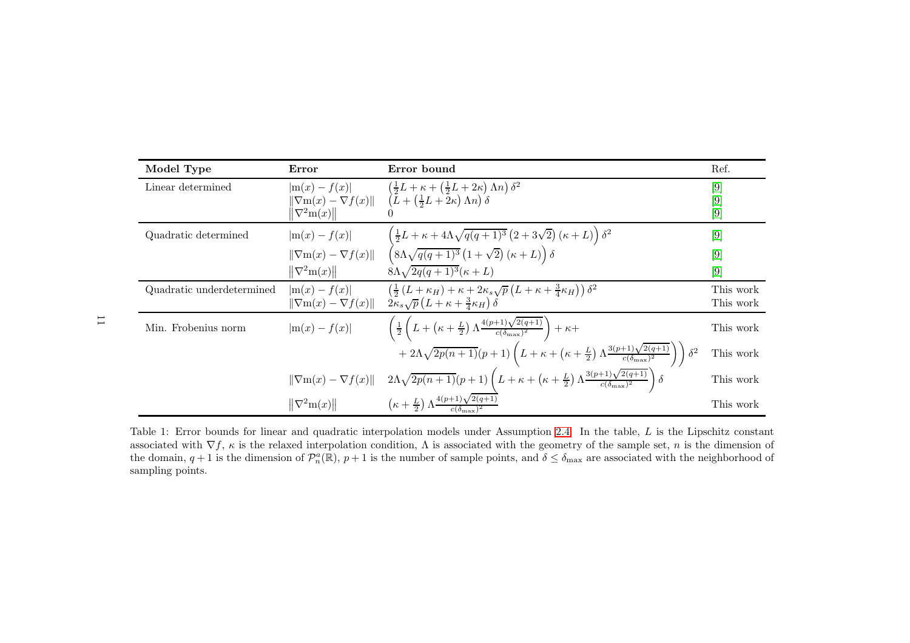| Model Type                | Error                                                                | Error bound                                                                                                                                                                                       | Ref.                    |
|---------------------------|----------------------------------------------------------------------|---------------------------------------------------------------------------------------------------------------------------------------------------------------------------------------------------|-------------------------|
| Linear determined         | $ \mathrm{m}(x)-f(x) $<br>$\ \nabla^2m(x)\ $                         | $\left(\frac{1}{2}L+\kappa+\left(\frac{1}{2}L+2\kappa\right)\Lambda n\right)\delta^2$<br>$\ \nabla m(x)-\nabla f(x)\  \quad (\tilde{L}+(\frac{1}{2}L+\tilde{2}\kappa)\,\Lambda n)\,\delta$        | $[9]$<br>$[9]$<br>$[9]$ |
|                           |                                                                      |                                                                                                                                                                                                   |                         |
| Quadratic determined      | $ \mathrm{m}(x)-f(x) $                                               | $\left(\frac{1}{2}L+\kappa+4\Lambda\sqrt{q(q+1)^3}\left(2+3\sqrt{2}\right)(\kappa+L)\right)\delta^2$                                                                                              | $[9]$                   |
|                           | $\ \nabla \mathbf{m}(x) - \nabla f(x)\ $                             | $\left(8\Lambda\sqrt{q(q+1)^3}\left(1+\sqrt{2}\right)\left(\kappa+L\right)\right)\delta$                                                                                                          | $[9]$                   |
|                           | $\ \nabla^2m(x)\ $                                                   | $8\Lambda\sqrt{2q(q+1)^3}(\kappa+L)$                                                                                                                                                              | [9]                     |
| Quadratic underdetermined | $ \mathrm{m}(x) - f(x) $<br>$\ \nabla \mathbf{m}(x) - \nabla f(x)\ $ | $\left(\frac{1}{2}\left(L+\kappa_H\right)+\kappa+2\kappa_s\sqrt{p}\left(L+\kappa+\frac{3}{4}\kappa_H\right)\right)\delta^2$<br>$2\kappa_s\sqrt{p}\left(L+\kappa+\frac{3}{4}\kappa_H\right)\delta$ | This work<br>This work  |
| Min. Frobenius norm       | $ \mathrm{m}(x)-f(x) $                                               | $\left(\frac{1}{2}\left(L+\left(\kappa+\frac{L}{2}\right)\Lambda\frac{4(p+1)\sqrt{2(q+1)}}{c(\delta_{\max})^2}\right)+\kappa+\right.$                                                             | This work               |
|                           |                                                                      | $+ 2 \Lambda \sqrt{2p(n+1)}(p+1)\left( L+\kappa+\left(\kappa+\frac{L}{2}\right)\Lambda \frac{3(p+1)\sqrt{2(q+1)}}{c(\delta_{\max})^2}\right)\bigg)$<br>$\delta^2$                                 | This work               |
|                           | $\ \nabla m(x)-\nabla f(x)\ $                                        | $2\Lambda\sqrt{2p(n+1)}(p+1)\left(L+\kappa+\left(\kappa+\frac{L}{2}\right)\Lambda\frac{3(p+1)\sqrt{2(q+1)}}{c(\delta_{\max})^2}\right)\delta$                                                     | This work               |
|                           | $\ \nabla^2 \mathbf{m}(x)\ $                                         | $\left(\kappa+\frac{L}{2}\right)\Lambda\frac{4(p+1)\sqrt{2(q+1)}}{e^{(\delta_{n}-\lambda)^2}}$                                                                                                    | This work               |

<span id="page-10-0"></span>Table 1: Error bounds for linear and quadratic interpolation models under Assumption [2.4.](#page-2-6) In the table, L is the Lipschitz constant associated with  $\nabla f$ ,  $\kappa$  is the relaxed interpolation condition,  $\Lambda$  is associated with the geometry of the sample set,  $n$  is the dimension of the domain,  $q + 1$  is the dimension of  $\mathcal{P}_n^a(\mathbb{R})$ ,  $p + 1$  is the number of sample points, and  $\delta \leq \delta_{\max}$  are associated with the neighborhood of sampling points.